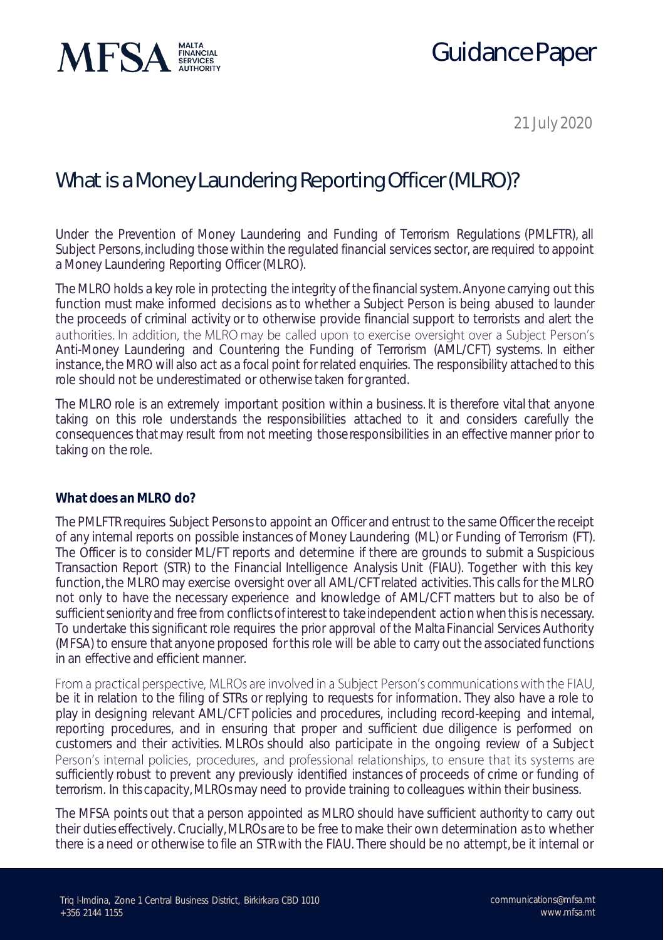

# Guidance Paper

21 July 2020

### What is a Money Laundering Reporting Officer (MLRO)?

Under the Prevention of Money Laundering and Funding of Terrorism Regulations (PMLFTR), all Subject Persons, including those within the regulated financial services sector, are required to appoint a Money Laundering Reporting Officer (MLRO).

The MLRO holds a key role in protecting the integrity of the financial system. Anyone carrying out this function must make informed decisions as to whether a Subject Person is being abused to launder the proceeds of criminal activity or to otherwise provide financial support to terrorists and alert the authorities. In addition, the MLRO may be called upon to exercise oversight over a Subject Person's Anti-Money Laundering and Countering the Funding of Terrorism (AML/CFT) systems. In either instance, the MRO will also act as a focal point for related enquiries. The responsibility attached to this role should not be underestimated or otherwise taken for granted.

The MLRO role is an extremely important position within a business. It is therefore vital that anyone taking on this role understands the responsibilities attached to it and considers carefully the consequences that may result from not meeting those responsibilities in an effective manner prior to taking on the role.

#### **What does an MLRO do?**

The PMLFTR requires Subject Persons to appoint an Officer and entrust to the same Officer the receipt of any internal reports on possible instances of Money Laundering (ML) or Funding of Terrorism (FT). The Officer is to consider ML/FT reports and determine if there are grounds to submit a Suspicious Transaction Report (STR) to the Financial Intelligence Analysis Unit (FIAU). Together with this key function, the MLRO may exercise oversight over all AML/CFT related activities. This calls for the MLRO not only to have the necessary experience and knowledge of AML/CFT matters but to also be of sufficient seniority and free from conflicts of interest to take independent action when this is necessary. To undertake this significant role requires the prior approval of the Malta Financial Services Authority (MFSA) to ensure that anyone proposed for this role will be able to carry out the associated functions in an effective and efficient manner.

From a practical perspective, MLROs are involved in a Subject Person's communications with the FIAU, be it in relation to the filing of STRs or replying to requests for information. They also have a role to play in designing relevant AML/CFT policies and procedures, including record-keeping and internal, reporting procedures, and in ensuring that proper and sufficient due diligence is performed on customers and their activities. MLROs should also participate in the ongoing review of a Subject Person's internal policies, procedures, and professional relationships, to ensure that its systems are sufficiently robust to prevent any previously identified instances of proceeds of crime or funding of terrorism. In this capacity, MLROs may need to provide training to colleagues within their business.

The MFSA points out that a person appointed as MLRO should have sufficient authority to carry out their duties effectively. Crucially, MLROs are to be free to make their own determination as to whether there is a need or otherwise to file an STR with the FIAU. There should be no attempt, be it internal or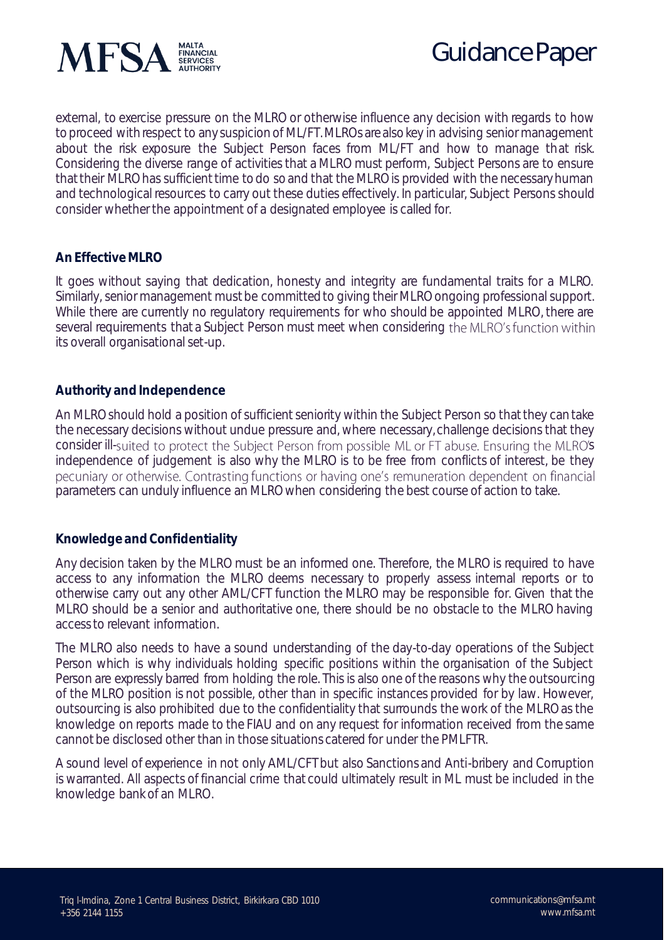

external, to exercise pressure on the MLRO or otherwise influence any decision with regards to how to proceed with respect to any suspicion of ML/FT. MLROs are also key in advising senior management about the risk exposure the Subject Person faces from ML/FT and how to manage that risk. Considering the diverse range of activities that a MLRO must perform, Subject Persons are to ensure that their MLRO has sufficient time to do so and that the MLRO is provided with the necessary human and technological resources to carry out these duties effectively. In particular, Subject Persons should consider whether the appointment of a designated employee is called for.

### **An Effective MLRO**

It goes without saying that dedication, honesty and integrity are fundamental traits for a MLRO. Similarly, senior management must be committed to giving their MLRO ongoing professional support. While there are currently no regulatory requirements for who should be appointed MLRO, there are several requirements that a Subject Person must meet when considering the MLRO's function within its overall organisational set-up.

#### **Authority and Independence**

An MLRO should hold a position of sufficient seniority within the Subject Person so that they can take the necessary decisions without undue pressure and, where necessary, challenge decisions that they consider ill-suited to protect the Subject Person from possible ML or FT abuse. Ensuring the MLRO's independence of judgement is also why the MLRO is to be free from conflicts of interest, be they pecuniary or otherwise. Contrasting functions or having one's remuneration dependent on financial parameters can unduly influence an MLRO when considering the best course of action to take.

#### **Knowledge and Confidentiality**

Any decision taken by the MLRO must be an informed one. Therefore, the MLRO is required to have access to any information the MLRO deems necessary to properly assess internal reports or to otherwise carry out any other AML/CFT function the MLRO may be responsible for. Given that the MLRO should be a senior and authoritative one, there should be no obstacle to the MLRO having access to relevant information.

The MLRO also needs to have a sound understanding of the day-to-day operations of the Subject Person which is why individuals holding specific positions within the organisation of the Subject Person are expressly barred from holding the role. This is also one of the reasons why the outsourcing of the MLRO position is not possible, other than in specific instances provided for by law. However, outsourcing is also prohibited due to the confidentiality that surrounds the work of the MLRO as the knowledge on reports made to the FIAU and on any request for information received from the same cannot be disclosed other than in those situations catered for under the PMLFTR.

A sound level of experience in not only AML/CFT but also Sanctions and Anti-bribery and Corruption is warranted. All aspects of financial crime that could ultimately result in ML must be included in the knowledge bank of an MLRO.